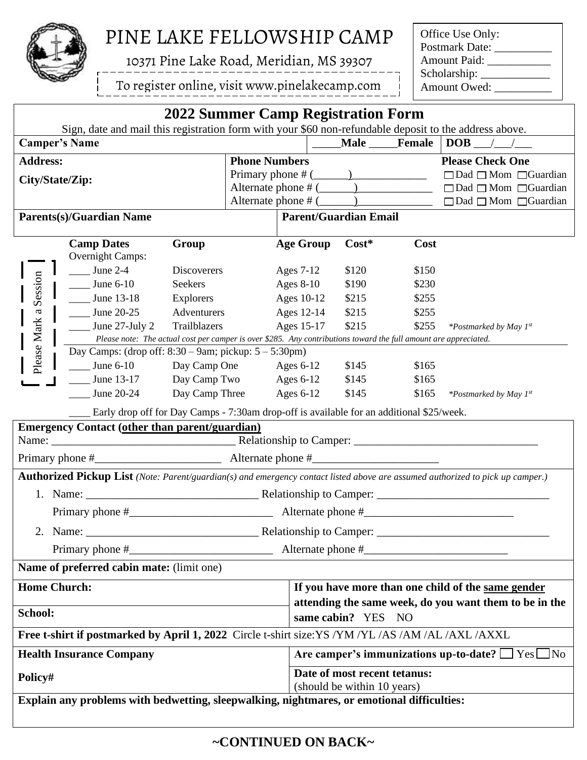

## **PINE LAKE FELLOWSHIP CAMP**

**10371 Pine Lake Road, Meridian, MS 39307**

To register online, visit www.pinelakecamp.com

Office Use Only: Postmark Date: \_\_\_\_\_\_\_\_\_\_ Amount Paid: \_\_\_\_\_\_\_\_\_\_\_\_ Scholarship: \_\_\_\_\_\_\_\_\_\_\_\_

| 2022 Summer Camp Registration Form                                                                 |                                                                                                                  |                    |                      |                                                             |             |                |                                                                                                                                                                                                                                                                   |  |
|----------------------------------------------------------------------------------------------------|------------------------------------------------------------------------------------------------------------------|--------------------|----------------------|-------------------------------------------------------------|-------------|----------------|-------------------------------------------------------------------------------------------------------------------------------------------------------------------------------------------------------------------------------------------------------------------|--|
|                                                                                                    | Sign, date and mail this registration form with your \$60 non-refundable deposit to the address above.           |                    |                      |                                                             |             |                |                                                                                                                                                                                                                                                                   |  |
| <b>Camper's Name</b>                                                                               |                                                                                                                  |                    |                      |                                                             | <b>Male</b> | Female         | $DOB$ / /                                                                                                                                                                                                                                                         |  |
| <b>Address:</b>                                                                                    |                                                                                                                  |                    | <b>Phone Numbers</b> |                                                             |             |                | <b>Please Check One</b>                                                                                                                                                                                                                                           |  |
| City/State/Zip:                                                                                    |                                                                                                                  |                    |                      |                                                             |             |                | $\Box$ Dad $\Box$ Mom $\Box$ Guardian                                                                                                                                                                                                                             |  |
|                                                                                                    |                                                                                                                  |                    |                      |                                                             |             |                | Alternate phone # $(\_\_)$ $\_\_$ $\_\_$ $\_\_$ $\_\_$ $\_\_$ $\_\_$ $\_\_$ $\_\_$ $\_\_$ $\_\_$ $\_\_$ $\_\_$ $\_\_$ $\_\_$ $\_\_$ $\_\_$ $\_\_$ $\_\_$ $\_\_$ $\_\_$ $\_\_$ $\_\_$ $\_\_$ $\_\_$ $\_\_$ $\_\_$ $\_\_$ $\_\_$ $\_\_$ $\_\_$ $\_\_$ $\_\_$ $\_\_$ |  |
|                                                                                                    |                                                                                                                  |                    |                      |                                                             |             |                |                                                                                                                                                                                                                                                                   |  |
| <b>Parents(s)/Guardian Name</b>                                                                    |                                                                                                                  |                    |                      | <b>Parent/Guardian Email</b>                                |             |                |                                                                                                                                                                                                                                                                   |  |
|                                                                                                    | <b>Camp Dates</b>                                                                                                | Group              |                      | <b>Age Group</b>                                            | $Cost*$     | Cost           |                                                                                                                                                                                                                                                                   |  |
|                                                                                                    | <b>Overnight Camps:</b>                                                                                          |                    |                      |                                                             |             |                |                                                                                                                                                                                                                                                                   |  |
| Please Mark a Session                                                                              | June $2-4$                                                                                                       | <b>Discoverers</b> |                      | Ages 7-12                                                   | \$120       | \$150          |                                                                                                                                                                                                                                                                   |  |
|                                                                                                    | $\frac{\text{June } 6-10}{\text{$                                                                                | Seekers            |                      | Ages $8-10$                                                 | \$190       | \$230          |                                                                                                                                                                                                                                                                   |  |
|                                                                                                    | $\frac{\text{June }13-18}{}$                                                                                     | Explorers          |                      | Ages 10-12                                                  | \$215       | \$255          |                                                                                                                                                                                                                                                                   |  |
|                                                                                                    | <b>June 20-25</b>                                                                                                | Adventurers        |                      | Ages 12-14                                                  | \$215       | \$255          |                                                                                                                                                                                                                                                                   |  |
|                                                                                                    | $\frac{1}{2}$ June 27-July 2                                                                                     | Trailblazers       |                      | Ages 15-17                                                  | \$215       | \$255          | *Postmarked by May 1st                                                                                                                                                                                                                                            |  |
|                                                                                                    | Please note: The actual cost per camper is over \$285. Any contributions toward the full amount are appreciated. |                    |                      |                                                             |             |                |                                                                                                                                                                                                                                                                   |  |
|                                                                                                    | Day Camps: (drop off: $8:30 - 9$ am; pickup: $5 - 5:30$ pm)                                                      |                    |                      |                                                             |             |                |                                                                                                                                                                                                                                                                   |  |
|                                                                                                    | June 6-10 Day Camp One Ages 6-12<br>$\frac{\text{June } 13-17}{\text{June } 13-17}$ Day Camp Two Ages 6-12 \$145 |                    |                      |                                                             | \$145       | \$165<br>\$165 |                                                                                                                                                                                                                                                                   |  |
|                                                                                                    | $June 20-24$                                                                                                     | Day Camp Three     |                      | Ages $6-12$                                                 | \$145       | \$165          |                                                                                                                                                                                                                                                                   |  |
|                                                                                                    |                                                                                                                  |                    |                      |                                                             |             |                | *Postmarked by May 1st                                                                                                                                                                                                                                            |  |
|                                                                                                    | Early drop off for Day Camps - 7:30am drop-off is available for an additional \$25/week.                         |                    |                      |                                                             |             |                |                                                                                                                                                                                                                                                                   |  |
|                                                                                                    | <b>Emergency Contact (other than parent/guardian)</b>                                                            |                    |                      |                                                             |             |                |                                                                                                                                                                                                                                                                   |  |
|                                                                                                    |                                                                                                                  |                    |                      |                                                             |             |                |                                                                                                                                                                                                                                                                   |  |
| Primary phone $\#$ Alternate phone $\#$ Alternate phone $\#$                                       |                                                                                                                  |                    |                      |                                                             |             |                |                                                                                                                                                                                                                                                                   |  |
|                                                                                                    |                                                                                                                  |                    |                      |                                                             |             |                | Authorized Pickup List (Note: Parent/guardian(s) and emergency contact listed above are assumed authorized to pick up camper.)                                                                                                                                    |  |
|                                                                                                    |                                                                                                                  |                    |                      |                                                             |             |                |                                                                                                                                                                                                                                                                   |  |
|                                                                                                    |                                                                                                                  |                    |                      |                                                             |             |                |                                                                                                                                                                                                                                                                   |  |
| Relationship to Camper:<br>2. Name:                                                                |                                                                                                                  |                    |                      |                                                             |             |                |                                                                                                                                                                                                                                                                   |  |
|                                                                                                    |                                                                                                                  |                    |                      |                                                             |             |                |                                                                                                                                                                                                                                                                   |  |
| Name of preferred cabin mate: (limit one)                                                          |                                                                                                                  |                    |                      |                                                             |             |                |                                                                                                                                                                                                                                                                   |  |
| <b>Home Church:</b>                                                                                |                                                                                                                  |                    |                      |                                                             |             |                | If you have more than one child of the same gender                                                                                                                                                                                                                |  |
|                                                                                                    |                                                                                                                  |                    |                      | attending the same week, do you want them to be in the      |             |                |                                                                                                                                                                                                                                                                   |  |
| School:                                                                                            |                                                                                                                  |                    |                      | same cabin? YES NO                                          |             |                |                                                                                                                                                                                                                                                                   |  |
| Free t-shirt if postmarked by April 1, 2022 Circle t-shirt size: YS /YM /YL /AS /AM /AL /AXL /AXXL |                                                                                                                  |                    |                      |                                                             |             |                |                                                                                                                                                                                                                                                                   |  |
| <b>Health Insurance Company</b>                                                                    |                                                                                                                  |                    |                      | Are camper's immunizations up-to-date? $\Box$ Yes $\Box$ No |             |                |                                                                                                                                                                                                                                                                   |  |
| Policy#                                                                                            |                                                                                                                  |                    |                      | Date of most recent tetanus:                                |             |                |                                                                                                                                                                                                                                                                   |  |
|                                                                                                    |                                                                                                                  |                    |                      | (should be within 10 years)                                 |             |                |                                                                                                                                                                                                                                                                   |  |
| Explain any problems with bedwetting, sleepwalking, nightmares, or emotional difficulties:         |                                                                                                                  |                    |                      |                                                             |             |                |                                                                                                                                                                                                                                                                   |  |
|                                                                                                    |                                                                                                                  |                    |                      |                                                             |             |                |                                                                                                                                                                                                                                                                   |  |

**~CONTINUED ON BACK~**